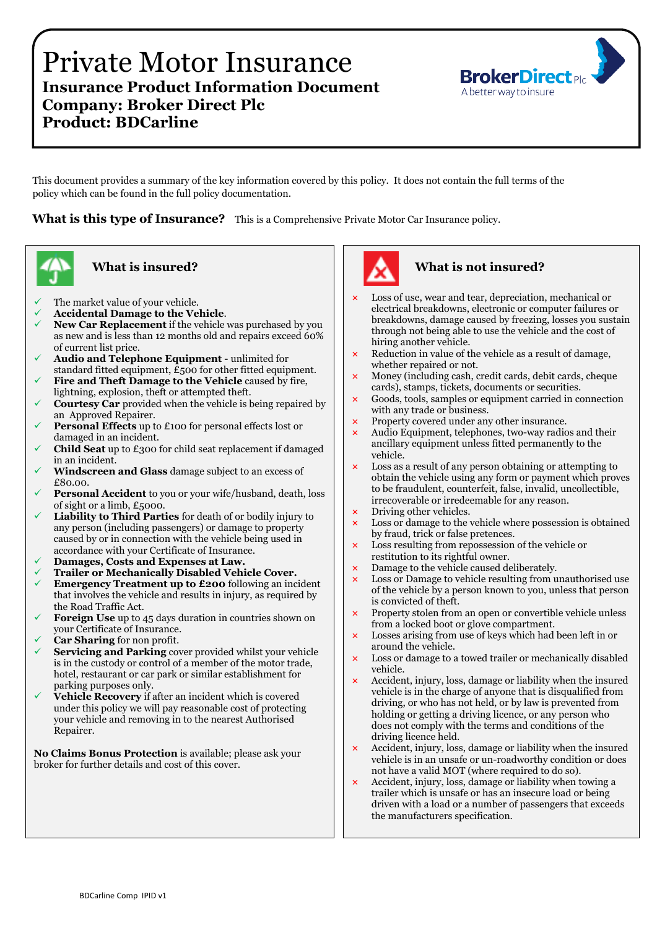# Private Motor Insurance **Insurance Product Information Document Company: Broker Direct Plc Product: BDCarline**



This document provides a summary of the key information covered by this policy. It does not contain the full terms of the policy which can be found in the full policy documentation.

**What is this type of Insurance?** This is a Comprehensive Private Motor Car Insurance policy.



- Ĩ The market value of your vehicle.
- **Accidental Damage to the Vehicle**.
- **New Car Replacement** if the vehicle was purchased by you as new and is less than 12 months old and repairs exceed 60% of current list price.
- **Audio and Telephone Equipment** unlimited for standard fitted equipment, £500 for other fitted equipment.
- **Fire and Theft Damage to the Vehicle** caused by fire, lightning, explosion, theft or attempted theft.
- **Courtesy Car** provided when the vehicle is being repaired by an Approved Repairer.
- **Personal Effects** up to £100 for personal effects lost or damaged in an incident.
- **Child Seat** up to £300 for child seat replacement if damaged in an incident.
- **Windscreen and Glass** damage subject to an excess of £80.00.
- **Personal Accident** to you or your wife/husband, death, loss of sight or a limb, £5000.
- **Liability to Third Parties** for death of or bodily injury to any person (including passengers) or damage to property caused by or in connection with the vehicle being used in accordance with your Certificate of Insurance.
- **Damages, Costs and Expenses at Law.**
- **Trailer or Mechanically Disabled Vehicle Cover.**
- **Emergency Treatment up to £200** following an incident that involves the vehicle and results in injury, as required by the Road Traffic Act.
- **Foreign Use** up to 45 days duration in countries shown on your Certificate of Insurance.
- **Car Sharing** for non profit.
- **Servicing and Parking** cover provided whilst your vehicle is in the custody or control of a member of the motor trade, hotel, restaurant or car park or similar establishment for parking purposes only.
- **Vehicle Recovery** if after an incident which is covered under this policy we will pay reasonable cost of protecting your vehicle and removing in to the nearest Authorised Repairer.

**No Claims Bonus Protection** is available; please ask your broker for further details and cost of this cover.



### **What is insured? What is not insured?**

- **×** Loss of use, wear and tear, depreciation, mechanical or electrical breakdowns, electronic or computer failures or breakdowns, damage caused by freezing, losses you sustain through not being able to use the vehicle and the cost of hiring another vehicle.
- **×** Reduction in value of the vehicle as a result of damage, whether repaired or not.
- **×** Money (including cash, credit cards, debit cards, cheque cards), stamps, tickets, documents or securities.
- Goods, tools, samples or equipment carried in connection with any trade or business.
- **×** Property covered under any other insurance.
- **×** Audio Equipment, telephones, two-way radios and their ancillary equipment unless fitted permanently to the vehicle.
- **×** Loss as a result of any person obtaining or attempting to obtain the vehicle using any form or payment which proves to be fraudulent, counterfeit, false, invalid, uncollectible, irrecoverable or irredeemable for any reason.
- **×** Driving other vehicles.
- **×** Loss or damage to the vehicle where possession is obtained by fraud, trick or false pretences.
- **×** Loss resulting from repossession of the vehicle or restitution to its rightful owner.
- **×** Damage to the vehicle caused deliberately.
- Loss or Damage to vehicle resulting from unauthorised use of the vehicle by a person known to you, unless that person is convicted of theft.
- **×** Property stolen from an open or convertible vehicle unless from a locked boot or glove compartment.
- Losses arising from use of keys which had been left in or around the vehicle.
- Loss or damage to a towed trailer or mechanically disabled vehicle.
- **×** Accident, injury, loss, damage or liability when the insured vehicle is in the charge of anyone that is disqualified from driving, or who has not held, or by law is prevented from holding or getting a driving licence, or any person who does not comply with the terms and conditions of the driving licence held.
- **×** Accident, injury, loss, damage or liability when the insured vehicle is in an unsafe or un-roadworthy condition or does not have a valid MOT (where required to do so).
- **×** Accident, injury, loss, damage or liability when towing a trailer which is unsafe or has an insecure load or being driven with a load or a number of passengers that exceeds the manufacturers specification.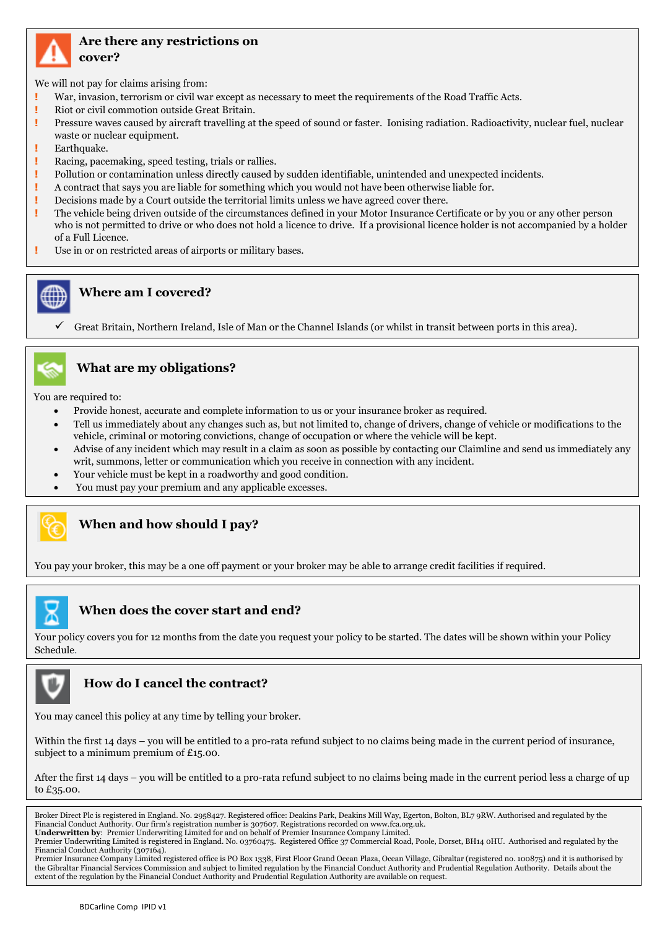

#### **Are there any restrictions on cover?**

We will not pay for claims arising from:

- **!** War, invasion, terrorism or civil war except as necessary to meet the requirements of the Road Traffic Acts.
- **!** Riot or civil commotion outside Great Britain.
- **!** Pressure waves caused by aircraft travelling at the speed of sound or faster. Ionising radiation. Radioactivity, nuclear fuel, nuclear waste or nuclear equipment.
- **!** Earthquake.
- **!** Racing, pacemaking, speed testing, trials or rallies.
- **!** Pollution or contamination unless directly caused by sudden identifiable, unintended and unexpected incidents.
- **!** A contract that says you are liable for something which you would not have been otherwise liable for.
- **!** Decisions made by a Court outside the territorial limits unless we have agreed cover there.
- **!** The vehicle being driven outside of the circumstances defined in your Motor Insurance Certificate or by you or any other person who is not permitted to drive or who does not hold a licence to drive. If a provisional licence holder is not accompanied by a holder of a Full Licence.
- **!** Use in or on restricted areas of airports or military bases.



#### **Where am I covered?**

Great Britain, Northern Ireland, Isle of Man or the Channel Islands (or whilst in transit between ports in this area).



Ξ

## **What are my obligations?**

You are required to:

- Provide honest, accurate and complete information to us or your insurance broker as required.
- Tell us immediately about any changes such as, but not limited to, change of drivers, change of vehicle or modifications to the vehicle, criminal or motoring convictions, change of occupation or where the vehicle will be kept.
- Advise of any incident which may result in a claim as soon as possible by contacting our Claimline and send us immediately any writ, summons, letter or communication which you receive in connection with any incident.
- Your vehicle must be kept in a roadworthy and good condition.
- You must pay your premium and any applicable excesses.



# **When and how should I pay?**

You pay your broker, this may be a one off payment or your broker may be able to arrange credit facilities if required.



### **When does the cover start and end?**

Your policy covers you for 12 months from the date you request your policy to be started. The dates will be shown within your Policy Schedule.



### **How do I cancel the contract?**

You may cancel this policy at any time by telling your broker.

Within the first 14 days – you will be entitled to a pro-rata refund subject to no claims being made in the current period of insurance, subject to a minimum premium of £15.00.

After the first 14 days – you will be entitled to a pro-rata refund subject to no claims being made in the current period less a charge of up to £35.00.

Broker Direct Plc is registered in England. No. 2958427. Registered office: Deakins Park, Deakins Mill Way, Egerton, Bolton, BL7 9RW. Authorised and regulated by the Financial Conduct Authority. Our firm's registration number is 307607. Registrations recorded on www.fca.org.uk. **Underwritten by**: Premier Underwriting Limited for and on behalf of Premier Insurance Company Limited.

Premier Underwriting Limited is registered in England. No. 03760475. Registered Office 37 Commercial Road, Poole, Dorset, BH14 0HU. Authorised and regulated by the Financial Conduct Authority (307164).

Premier Insurance Company Limited registered office is PO Box 1338, First Floor Grand Ocean Plaza, Ocean Village, Gibraltar (registered no. 100875) and it is authorised by the Gibraltar Financial Services Commission and subject to limited regulation by the Financial Conduct Authority and Prudential Regulation Authority. Details about the extent of the regulation by the Financial Conduct Authority and Prudential Regulation Authority are available on request.